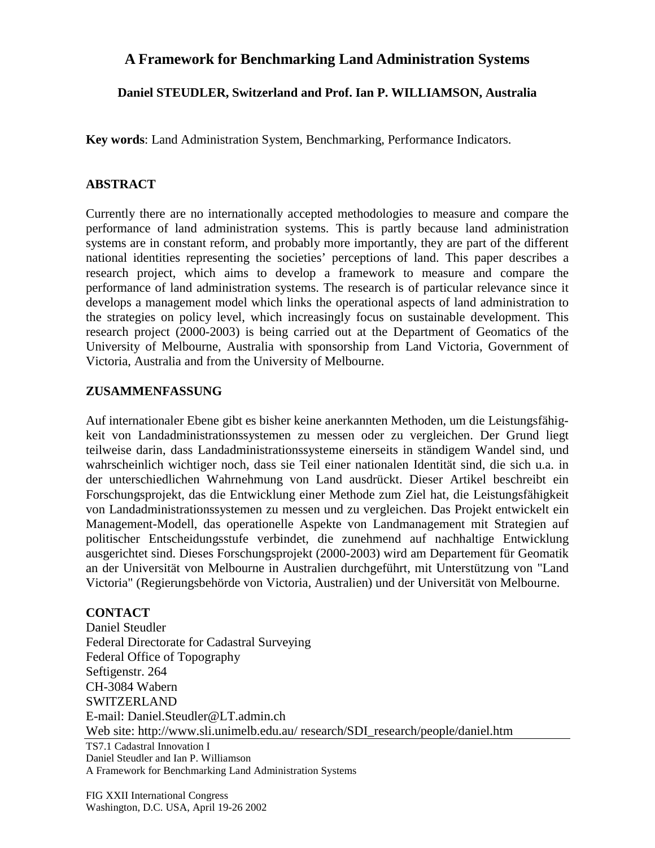## **A Framework for Benchmarking Land Administration Systems**

**Daniel STEUDLER, Switzerland and Prof. Ian P. WILLIAMSON, Australia**

**Key words**: Land Administration System, Benchmarking, Performance Indicators.

## **ABSTRACT**

Currently there are no internationally accepted methodologies to measure and compare the performance of land administration systems. This is partly because land administration systems are in constant reform, and probably more importantly, they are part of the different national identities representing the societies' perceptions of land. This paper describes a research project, which aims to develop a framework to measure and compare the performance of land administration systems. The research is of particular relevance since it develops a management model which links the operational aspects of land administration to the strategies on policy level, which increasingly focus on sustainable development. This research project (2000-2003) is being carried out at the Department of Geomatics of the University of Melbourne, Australia with sponsorship from Land Victoria, Government of Victoria, Australia and from the University of Melbourne.

## **ZUSAMMENFASSUNG**

Auf internationaler Ebene gibt es bisher keine anerkannten Methoden, um die Leistungsfähigkeit von Landadministrationssystemen zu messen oder zu vergleichen. Der Grund liegt teilweise darin, dass Landadministrationssysteme einerseits in ständigem Wandel sind, und wahrscheinlich wichtiger noch, dass sie Teil einer nationalen Identität sind, die sich u.a. in der unterschiedlichen Wahrnehmung von Land ausdrückt. Dieser Artikel beschreibt ein Forschungsprojekt, das die Entwicklung einer Methode zum Ziel hat, die Leistungsfähigkeit von Landadministrationssystemen zu messen und zu vergleichen. Das Projekt entwickelt ein Management-Modell, das operationelle Aspekte von Landmanagement mit Strategien auf politischer Entscheidungsstufe verbindet, die zunehmend auf nachhaltige Entwicklung ausgerichtet sind. Dieses Forschungsprojekt (2000-2003) wird am Departement für Geomatik an der Universität von Melbourne in Australien durchgeführt, mit Unterstützung von "Land Victoria" (Regierungsbehörde von Victoria, Australien) und der Universität von Melbourne.

## **CONTACT**

TS7.1 Cadastral Innovation I Daniel Steudler and Ian P. Williamson A Framework for Benchmarking Land Administration Systems Daniel Steudler Federal Directorate for Cadastral Surveying Federal Office of Topography Seftigenstr. 264 CH-3084 Wabern SWITZERLAND E-mail: Daniel.Steudler@LT.admin.ch Web site: http://www.sli.unimelb.edu.au/ research/SDI\_research/people/daniel.htm

FIG XXII International Congress Washington, D.C. USA, April 19-26 2002